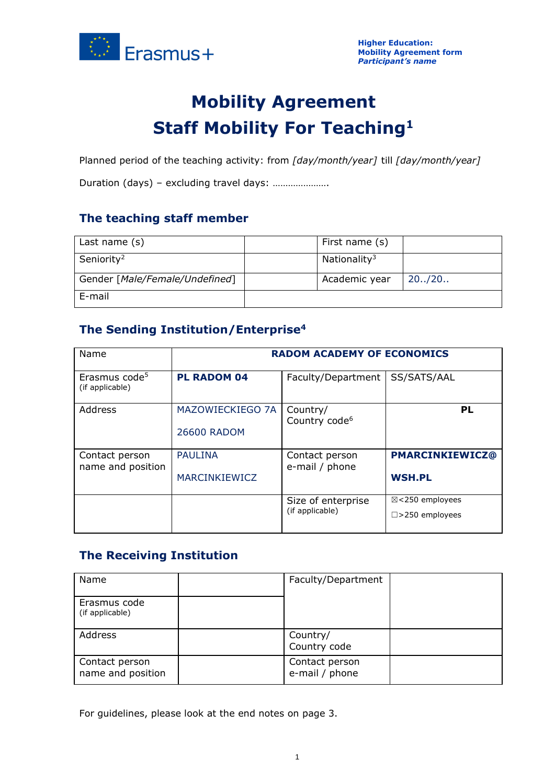

# **Mobility Agreement Staff Mobility For Teaching<sup>1</sup>**

Planned period of the teaching activity: from *[day/month/year]* till *[day/month/year]*

Duration (days) – excluding travel days: ………………….

## **The teaching staff member**

| Last name (s)                  | First name (s)           |         |
|--------------------------------|--------------------------|---------|
| Seniority <sup>2</sup>         | Nationality <sup>3</sup> |         |
| Gender [Male/Female/Undefined] | Academic year            | 20.720. |
| E-mail                         |                          |         |

### **The Sending Institution/Enterprise<sup>4</sup>**

| Name                                         | <b>RADOM ACADEMY OF ECONOMICS</b>      |                                       |                                                        |  |  |
|----------------------------------------------|----------------------------------------|---------------------------------------|--------------------------------------------------------|--|--|
| Erasmus code <sup>5</sup><br>(if applicable) | <b>PL RADOM 04</b>                     | Faculty/Department                    | SS/SATS/AAL                                            |  |  |
| Address                                      | <b>MAZOWIECKIEGO 7A</b><br>26600 RADOM | Country/<br>Country code <sup>6</sup> | PL                                                     |  |  |
| Contact person<br>name and position          | <b>PAULINA</b><br>MARCINKIEWICZ        | Contact person<br>e-mail / phone      | <b>PMARCINKIEWICZ@</b><br><b>WSH.PL</b>                |  |  |
|                                              |                                        | Size of enterprise<br>(if applicable) | $\boxtimes$ <250 employees<br>$\square$ >250 employees |  |  |

## **The Receiving Institution**

| Name                                | Faculty/Department               |  |
|-------------------------------------|----------------------------------|--|
| Erasmus code<br>(if applicable)     |                                  |  |
| Address                             | Country/<br>Country code         |  |
| Contact person<br>name and position | Contact person<br>e-mail / phone |  |

For guidelines, please look at the end notes on page 3.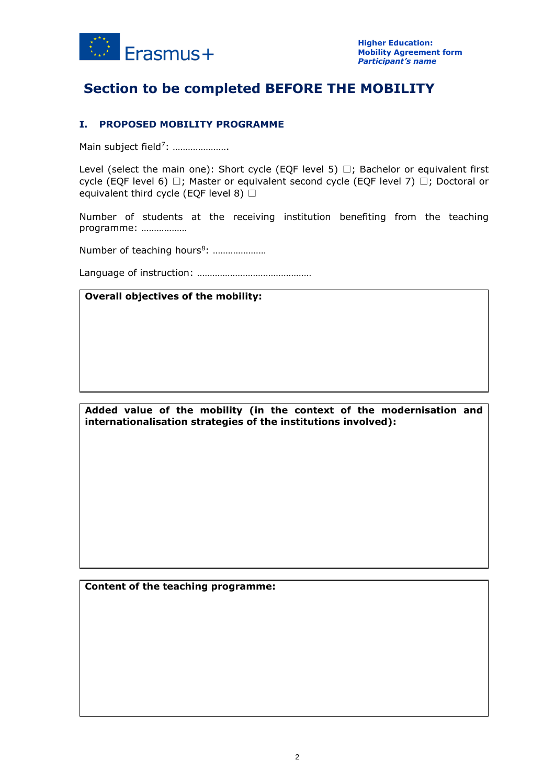

## **Section to be completed BEFORE THE MOBILITY**

#### **I. PROPOSED MOBILITY PROGRAMME**

Main subject field<sup>7</sup>: .....................

Level (select the main one): Short cycle (EOF level 5)  $\Box$ ; Bachelor or equivalent first cycle (EQF level 6)  $□$ ; Master or equivalent second cycle (EQF level 7)  $□$ ; Doctoral or equivalent third cycle (EQF level 8)  $\Box$ 

Number of students at the receiving institution benefiting from the teaching programme: ………………

Number of teaching hours<sup>8</sup>: .....................

Language of instruction: ………………………………………

#### **Overall objectives of the mobility:**

**Added value of the mobility (in the context of the modernisation and internationalisation strategies of the institutions involved):**

**Content of the teaching programme:**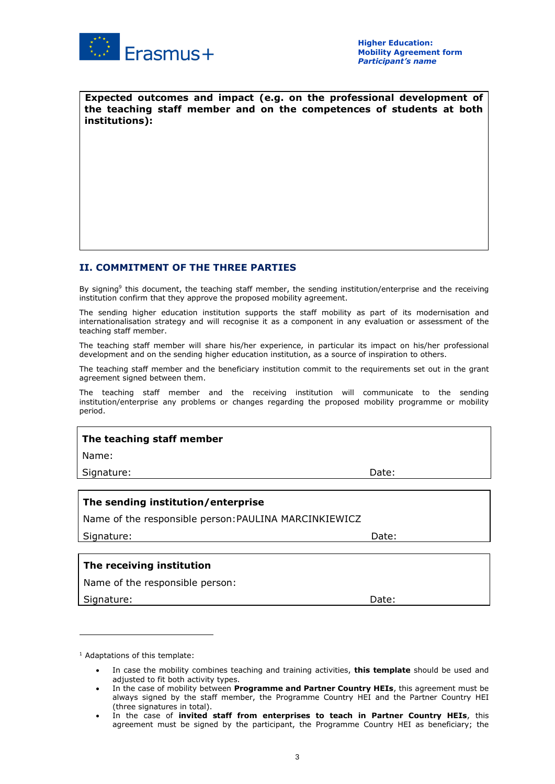

**Expected outcomes and impact (e.g. on the professional development of the teaching staff member and on the competences of students at both institutions):**

#### **II. COMMITMENT OF THE THREE PARTIES**

By signing<sup>9</sup> this document, the teaching staff member, the sending institution/enterprise and the receiving institution confirm that they approve the proposed mobility agreement.

The sending higher education institution supports the staff mobility as part of its modernisation and internationalisation strategy and will recognise it as a component in any evaluation or assessment of the teaching staff member.

The teaching staff member will share his/her experience, in particular its impact on his/her professional development and on the sending higher education institution, as a source of inspiration to others.

The teaching staff member and the beneficiary institution commit to the requirements set out in the grant agreement signed between them.

The teaching staff member and the receiving institution will communicate to the sending institution/enterprise any problems or changes regarding the proposed mobility programme or mobility period.

#### **The teaching staff member**

Name:

Signature: Date: Date: Date: Date: Date: Date: Date: Date: Date: Date: Date: Date: Date: Date: Date: Date: Date: Date: Date: Date: Date: Date: Date: Date: Date: Date: Date: Date: Date: Date: Date: Date: Date: Date: Date: D

#### **The sending institution/enterprise**

Name of the responsible person:PAULINA MARCINKIEWICZ

Signature: Date: Date: Date: Date: Date: Date: Date: Date: Date: Date: Date: Date: Date: Date: Date: Date: Date: Date: Date: Date: Date: Date: Date: Date: Date: Date: Date: Date: Date: Date: Date: Date: Date: Date: Date: D

#### **The receiving institution**

Name of the responsible person:

Signature: Note: Note: Note: Note: Note: Note: Note: Note: Note: Note: Note: Note: Note: Note: Note: Note: Note: Note: Note: Note: Note: Note: Note: Note: Note: Note: Note: Note: Note: Note: Note: Note: Note: Note: Note: N

<sup>1</sup> Adaptations of this template:

<sup>•</sup> In case the mobility combines teaching and training activities, **this template** should be used and adjusted to fit both activity types.

<sup>•</sup> In the case of mobility between **Programme and Partner Country HEIs**, this agreement must be always signed by the staff member, the Programme Country HEI and the Partner Country HEI (three signatures in total).

<sup>•</sup> In the case of **invited staff from enterprises to teach in Partner Country HEIs**, this agreement must be signed by the participant, the Programme Country HEI as beneficiary; the